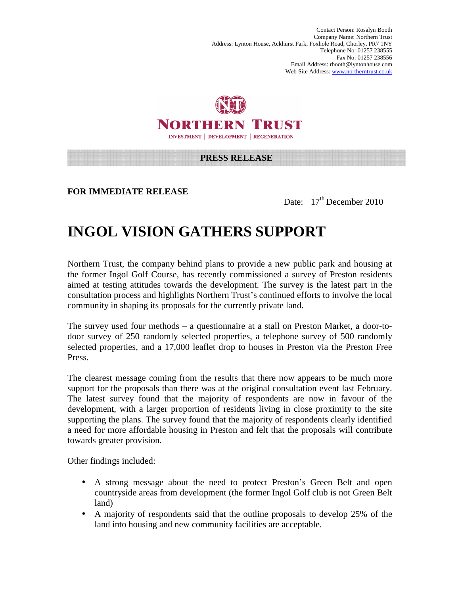Contact Person: Rosalyn Booth Company Name: Northern Trust Address: Lynton House, Ackhurst Park, Foxhole Road, Chorley, PR7 1NY Telephone No: 01257 238555 Fax No: 01257 238556 Email Address: rbooth@lyntonhouse.com Web Site Address: www.northerntrust.co.uk



## **PRESS RELEASE**

**FOR IMMEDIATE RELEASE** 

Date: 17<sup>th</sup> December 2010

## **INGOL VISION GATHERS SUPPORT**

Northern Trust, the company behind plans to provide a new public park and housing at the former Ingol Golf Course, has recently commissioned a survey of Preston residents aimed at testing attitudes towards the development. The survey is the latest part in the consultation process and highlights Northern Trust's continued efforts to involve the local community in shaping its proposals for the currently private land.

The survey used four methods – a questionnaire at a stall on Preston Market, a door-todoor survey of 250 randomly selected properties, a telephone survey of 500 randomly selected properties, and a 17,000 leaflet drop to houses in Preston via the Preston Free Press.

The clearest message coming from the results that there now appears to be much more support for the proposals than there was at the original consultation event last February. The latest survey found that the majority of respondents are now in favour of the development, with a larger proportion of residents living in close proximity to the site supporting the plans. The survey found that the majority of respondents clearly identified a need for more affordable housing in Preston and felt that the proposals will contribute towards greater provision.

Other findings included:

- A strong message about the need to protect Preston's Green Belt and open countryside areas from development (the former Ingol Golf club is not Green Belt land)
- A majority of respondents said that the outline proposals to develop 25% of the land into housing and new community facilities are acceptable.